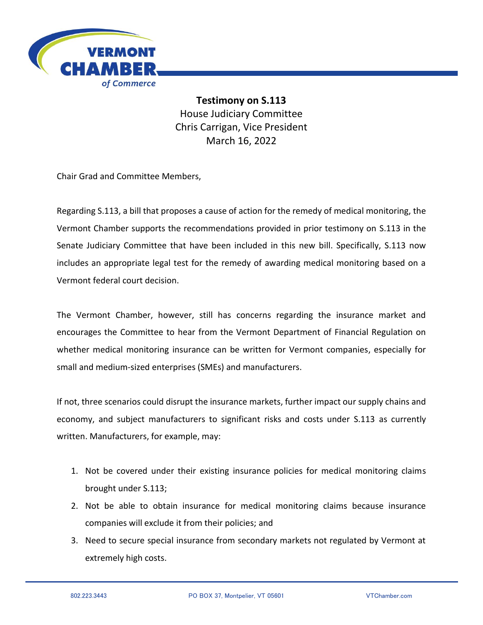

**Testimony on S.113** House Judiciary Committee Chris Carrigan, Vice President March 16, 2022

Chair Grad and Committee Members,

Regarding S.113, a bill that proposes a cause of action for the remedy of medical monitoring, the Vermont Chamber supports the recommendations provided in prior testimony on S.113 in the Senate Judiciary Committee that have been included in this new bill. Specifically, S.113 now includes an appropriate legal test for the remedy of awarding medical monitoring based on a Vermont federal court decision.

The Vermont Chamber, however, still has concerns regarding the insurance market and encourages the Committee to hear from the Vermont Department of Financial Regulation on whether medical monitoring insurance can be written for Vermont companies, especially for small and medium-sized enterprises (SMEs) and manufacturers.

If not, three scenarios could disrupt the insurance markets, further impact our supply chains and economy, and subject manufacturers to significant risks and costs under S.113 as currently written. Manufacturers, for example, may:

- 1. Not be covered under their existing insurance policies for medical monitoring claims brought under S.113;
- 2. Not be able to obtain insurance for medical monitoring claims because insurance companies will exclude it from their policies; and
- 3. Need to secure special insurance from secondary markets not regulated by Vermont at extremely high costs.